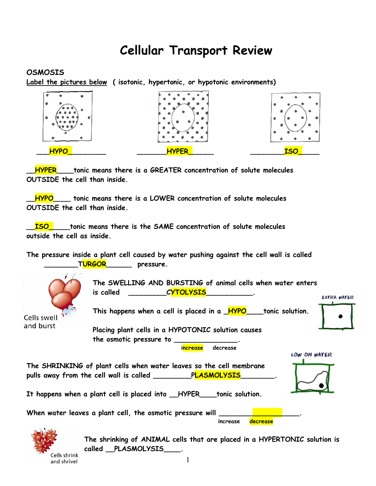## **Cellular Transport Review**

## **OSMOSIS**

**Label the pictures below ( isotonic, hypertonic, or hypotonic environments)**



**\_\_HYPER\_\_\_\_tonic means there is a GREATER concentration of solute molecules OUTSIDE the cell than inside.**

**\_\_HYPO\_\_\_\_ tonic means there is a LOWER concentration of solute molecules OUTSIDE the cell than inside.**

**\_\_ISO\_\_\_\_\_tonic means there is the SAME concentration of solute molecules outside the cell as inside.**

**The pressure inside a plant cell caused by water pushing against the cell wall is called \_\_\_\_\_\_\_\_TURGOR\_\_\_\_\_\_ pressure.**



Cells shrink and shrivel

**The shrinking of ANIMAL cells that are placed in a HYPERTONIC solution is called \_\_PLASMOLYSIS\_\_\_\_.**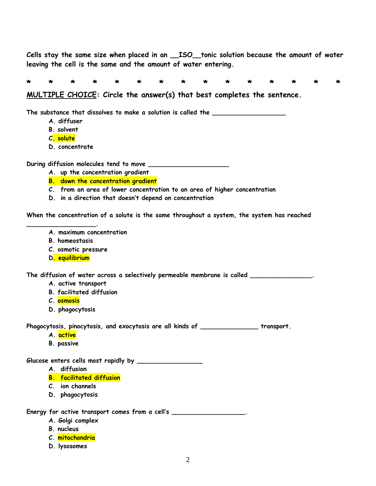**Cells stay the same size when placed in an \_\_ISO\_\_tonic solution because the amount of water leaving the cell is the same and the amount of water entering.**

**\* \* \* \* \* \* \* \* \* \* \* \* \* \* \***

**MULTIPLE CHOICE: Circle the answer(s) that best completes the sentence.**

**The substance that dissolves to make a solution is called the \_\_\_\_\_\_\_\_\_\_\_\_\_\_\_\_\_\_\_**

- **A. diffuser**
- **B. solvent**
- **C. solute**
- **D. concentrate**

**During diffusion molecules tend to move \_\_\_\_\_\_\_\_\_\_\_\_\_\_\_\_\_\_\_\_\_**

- **A. up the concentration gradient**
- **B. down the concentration gradient**
- **C. from an area of lower concentration to an area of higher concentration**
- **D. in a direction that doesn't depend on concentration**

**When the concentration of a solute is the same throughout a system, the system has reached** 

- **A. maximum concentration**
- **B. homeostasis**

**\_\_\_\_\_\_\_\_\_\_\_\_\_\_\_\_\_\_.**

- **C. osmotic pressure**
- **D. equilibrium**

**The diffusion of water across a selectively permeable membrane is called \_\_\_\_\_\_\_\_\_\_\_\_\_\_\_\_.**

- **A. active transport**
- **B. facilitated diffusion**
- **C. osmosis**
- **D. phagocytosis**

**Phagocytosis, pinocytosis, and exocytosis are all kinds of \_\_\_\_\_\_\_\_\_\_\_\_\_\_\_ transport.**

- **A. active**
- **B. passive**

Glucose enters cells most rapidly by **with an allowing the contract of the contract of the contract of Gluess** 

- **A. diffusion**
- **B. facilitated diffusion**
- **C. ion channels**
- **D. phagocytosis**

**Energy for active transport comes from a cell's \_\_\_\_\_\_\_\_\_\_\_\_\_\_\_\_\_\_\_.**

- **A. Golgi complex**
- **B. nucleus**
- **C. mitochondria**
- **D. lysosomes**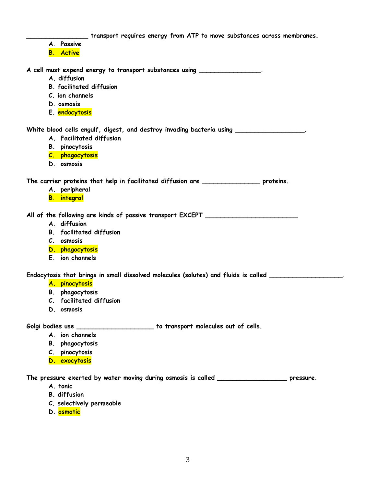**\_\_\_\_\_\_\_\_\_\_\_\_\_\_\_\_ transport requires energy from ATP to move substances across membranes. A. Passive B. Active A cell must expend energy to transport substances using \_\_\_\_\_\_\_\_\_\_\_\_\_\_\_\_. A. diffusion B. facilitated diffusion C. ion channels D. osmosis E. endocytosis White blood cells engulf, digest, and destroy invading bacteria using \_\_\_\_\_\_\_\_\_\_\_\_\_\_\_\_\_\_. A. Facilitated diffusion B. pinocytosis C. phagocytosis D. osmosis The carrier proteins that help in facilitated diffusion are \_\_\_\_\_\_\_\_\_\_\_\_\_\_\_ proteins. A. peripheral B. integral All of the following are kinds of passive transport EXCEPT \_\_\_\_\_\_\_\_\_\_\_\_\_\_\_\_\_\_\_\_\_\_\_\_ A. diffusion B. facilitated diffusion C. osmosis D. phagocytosis E. ion channels Endocytosis that brings in small dissolved molecules (solutes) and fluids is called \_\_\_\_\_\_\_\_\_\_\_\_\_\_\_\_\_\_\_. A. pinocytosis B. phagocytosis C. facilitated diffusion D. osmosis Golgi bodies use \_\_\_\_\_\_\_\_\_\_\_\_\_\_\_\_\_\_\_\_ to transport molecules out of cells. A. ion channels B. phagocytosis C. pinocytosis D. exocytosis The pressure exerted by water moving during osmosis is called \_\_\_\_\_\_\_\_\_\_\_\_\_\_\_\_\_\_ pressure. A. tonic B. diffusion**

- **C. selectively permeable**
- **D. osmotic**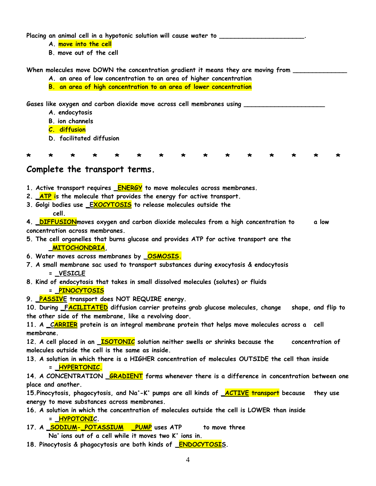**Placing an animal cell in a hypotonic solution will cause water to \_\_\_\_\_\_\_\_\_\_\_\_\_\_\_\_\_\_\_\_\_\_.**

- **A. move into the cell**
- **B. move out of the cell**

When molecules move DOWN the concentration gradient it means they are moving from **\_\_\_\_\_\_\_** 

- **A. an area of low concentration to an area of higher concentration**
- **B. an area of high concentration to an area of lower concentration**

Gases like oxygen and carbon dioxide move across cell membranes using \_\_\_\_\_\_\_\_\_\_\_

- **A. endocytosis**
- **B. ion channels**
- **C. diffusion**
- **D. facilitated diffusion**

**\* \* \* \* \* \* \* \* \* \* \* \* \* \* \***

## **Complete the transport terms.**

- **1. Active transport requires \_ENERGY to move molecules across membranes.**
- **2. \_ATP is the molecule that provides the energy for active transport.**
- **3. Golgi bodies use \_EXOCYTOSIS to release molecules outside the cell.**

**4. \_DIFFUSIONmoves oxygen and carbon dioxide molecules from a high concentration to a low concentration across membranes.**

- **5. The cell organelles that burns glucose and provides ATP for active transport are the \_MITOCHONDRIA,**
- **6. Water moves across membranes by \_OSMOSIS.**
- **7. A small membrane sac used to transport substances during exocytosis & endocytosis = \_VESICLE**
- **8. Kind of endocytosis that takes in small dissolved molecules (solutes) or fluids**

## **= \_PINOCYTOSIS**

**9. \_PASSIVE transport does NOT REQUIRE energy.**

**10. During \_FACILITATED diffusion carrier proteins grab glucose molecules, change shape, and flip to the other side of the membrane, like a revolving door.**

**11. A \_CARRIER protein is an integral membrane protein that helps move molecules across a cell membrane.**

**12. A cell placed in an \_ISOTONIC solution neither swells or shrinks because the concentration of molecules outside the cell is the same as inside.**

**13. A solution in which there is a HIGHER concentration of molecules OUTSIDE the cell than inside = \_HYPERTONIC.**

**14. A CONCENTRATION \_GRADIENT forms whenever there is a difference in concentration between one place and another.**

**15.Pinocytosis, phagocytosis, and Na<sup>+</sup> -K + pumps are all kinds of \_ACTIVE transport because they use energy to move substances across membranes.**

- **16. A solution in which the concentration of molecules outside the cell is LOWER than inside = \_HYPOTONIC.**
- 17. A **SODIUM- POTASSIUM** PUMP uses ATP to move three **Na<sup>+</sup>ions out of a cell while it moves two K<sup>+</sup> ions in.**
- **18. Pinocytosis & phagocytosis are both kinds of \_ENDOCYTOSIS.**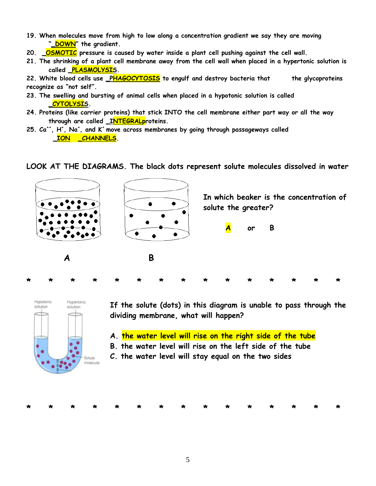- **19. When molecules move from high to low along a concentration gradient we say they are moving "\_DOWN" the gradient.**
- **20. \_OSMOTIC pressure is caused by water inside a plant cell pushing against the cell wall.**
- **21. The shrinking of a plant cell membrane away from the cell wall when placed in a hypertonic solution is called \_PLASMOLYSIS.**

**22. White blood cells use \_PHAGOCYTOSIS to engulf and destroy bacteria that the glycoproteins recognize as "not self".**

- **23. The swelling and bursting of animal cells when placed in a hypotonic solution is called \_CYTOLYSIS.**
- **24. Proteins (like carrier proteins) that stick INTO the cell membrane either part way or all the way through are called \_INTEGRALproteins.**
- **25. Ca++, H<sup>+</sup> , Na<sup>+</sup> , and K<sup>+</sup>move across membranes by going through passageways called**   $\overline{ION}$  *CHANNELS*.

**LOOK AT THE DIAGRAMS. The black dots represent solute molecules dissolved in water**





**If the solute (dots) in this diagram is unable to pass through the dividing membrane, what will happen?**

- **A. the water level will rise on the right side of the tube**
- **B. the water level will rise on the left side of the tube**
- **C. the water level will stay equal on the two sides**

**\* \* \* \* \* \* \* \* \* \* \* \* \* \* \***